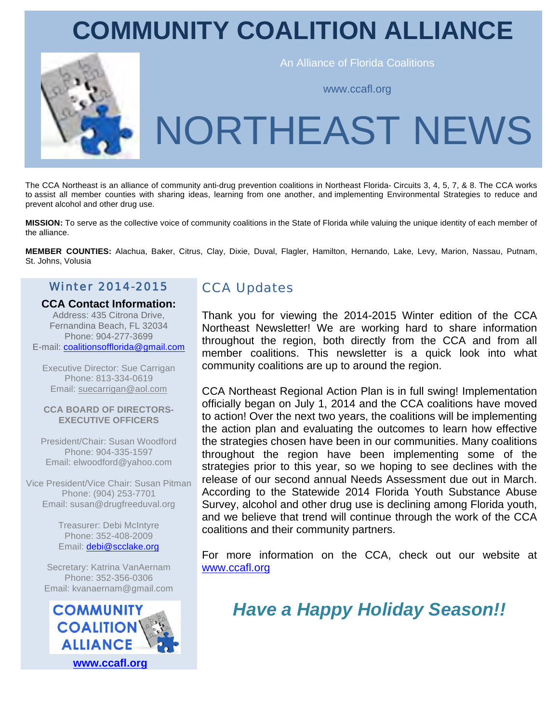# **COMMUNITY COALITION ALLIANCE**



An Alliance of Florida Coalitions

www.ccafl.org

# NORTHEAST NEWS

The CCA Northeast is an alliance of community anti-drug prevention coalitions in Northeast Florida- Circuits 3, 4, 5, 7, & 8. The CCA works to assist all member counties with sharing ideas, learning from one another, and implementing Environmental Strategies to reduce and prevent alcohol and other drug use.

**MISSION:** To serve as the collective voice of community coalitions in the State of Florida while valuing the unique identity of each member of the alliance.

**MEMBER COUNTIES:** Alachua, Baker, Citrus, Clay, Dixie, Duval, Flagler, Hamilton, Hernando, Lake, Levy, Marion, Nassau, Putnam, St. Johns, Volusia

#### Winter 2014-2015

#### **CCA Contact Information:**

Address: 435 Citrona Drive, Fernandina Beach, FL 32034 Phone: 904-277-3699 E-mail: coalitionsofflorida@gmail.com

Executive Director: Sue Carrigan Phone: 813-334-0619 Email: suecarrigan@aol.com

#### **CCA BOARD OF DIRECTORS-EXECUTIVE OFFICERS**

President/Chair: Susan Woodford Phone: 904-335-1597 Email: elwoodford@yahoo.com

Vice President/Vice Chair: Susan Pitman Phone: (904) 253-7701 Email: susan@drugfreeduval.org

> Treasurer: Debi McIntyre Phone: 352-408-2009 Email: debi@scclake.org

Secretary: Katrina VanAernam Phone: 352-356-0306 Email: kvanaernam@gmail.com



### **CCA Updates**

Thank you for viewing the 2014-2015 Winter edition of the CCA Northeast Newsletter! We are working hard to share information throughout the region, both directly from the CCA and from all member coalitions. This newsletter is a quick look into what community coalitions are up to around the region.

CCA Northeast Regional Action Plan is in full swing! Implementation officially began on July 1, 2014 and the CCA coalitions have moved to action! Over the next two years, the coalitions will be implementing the action plan and evaluating the outcomes to learn how effective the strategies chosen have been in our communities. Many coalitions throughout the region have been implementing some of the strategies prior to this year, so we hoping to see declines with the release of our second annual Needs Assessment due out in March. According to the Statewide 2014 Florida Youth Substance Abuse Survey, alcohol and other drug use is declining among Florida youth, and we believe that trend will continue through the work of the CCA coalitions and their community partners.

For more information on the CCA, check out our website at www.ccafl.org

# *Have a Happy Holiday Season!!*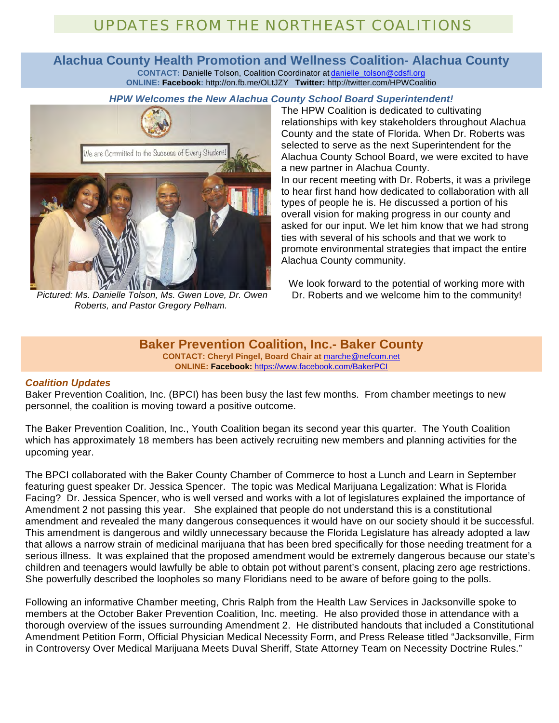## UPDATES FROM THE NORTHEAST COALITIONS

#### **Alachua County Health Promotion and Wellness Coalition- Alachua County CONTACT:** Danielle Tolson, Coalition Coordinator at danielle\_tolson@cdsfl.org **ONLINE: Facebook:** http://on.fb.me/OLtJZY **Twitter:** http://twitter.com/HPWCoalitio

#### *HPW Welcomes the New Alachua County School Board Superintendent!*



*Pictured: Ms. Danielle Tolson, Ms. Gwen Love, Dr. Owen Roberts, and Pastor Gregory Pelham.*

The HPW Coalition is dedicated to cultivating relationships with key stakeholders throughout Alachua County and the state of Florida. When Dr. Roberts was selected to serve as the next Superintendent for the Alachua County School Board, we were excited to have a new partner in Alachua County.

In our recent meeting with Dr. Roberts, it was a privilege to hear first hand how dedicated to collaboration with all types of people he is. He discussed a portion of his overall vision for making progress in our county and asked for our input. We let him know that we had strong ties with several of his schools and that we work to promote environmental strategies that impact the entire Alachua County community.

We look forward to the potential of working more with Dr. Roberts and we welcome him to the community!

**Baker Prevention Coalition, Inc.- Baker County CONTACT: Cheryl Pingel, Board Chair at** marche@nefcom.net **ONLINE: Facebook:** https://www.facebook.com/BakerPCI

#### *Coalition Updates*

Baker Prevention Coalition, Inc. (BPCI) has been busy the last few months. From chamber meetings to new personnel, the coalition is moving toward a positive outcome.

The Baker Prevention Coalition, Inc., Youth Coalition began its second year this quarter. The Youth Coalition which has approximately 18 members has been actively recruiting new members and planning activities for the upcoming year.

The BPCI collaborated with the Baker County Chamber of Commerce to host a Lunch and Learn in September featuring guest speaker Dr. Jessica Spencer. The topic was Medical Marijuana Legalization: What is Florida Facing? Dr. Jessica Spencer, who is well versed and works with a lot of legislatures explained the importance of Amendment 2 not passing this year. She explained that people do not understand this is a constitutional amendment and revealed the many dangerous consequences it would have on our society should it be successful. This amendment is dangerous and wildly unnecessary because the Florida Legislature has already adopted a law that allows a narrow strain of medicinal marijuana that has been bred specifically for those needing treatment for a serious illness. It was explained that the proposed amendment would be extremely dangerous because our state's children and teenagers would lawfully be able to obtain pot without parent's consent, placing zero age restrictions. She powerfully described the loopholes so many Floridians need to be aware of before going to the polls.

Following an informative Chamber meeting, Chris Ralph from the Health Law Services in Jacksonville spoke to members at the October Baker Prevention Coalition, Inc. meeting. He also provided those in attendance with a thorough overview of the issues surrounding Amendment 2. He distributed handouts that included a Constitutional Amendment Petition Form, Official Physician Medical Necessity Form, and Press Release titled "Jacksonville, Firm in Controversy Over Medical Marijuana Meets Duval Sheriff, State Attorney Team on Necessity Doctrine Rules."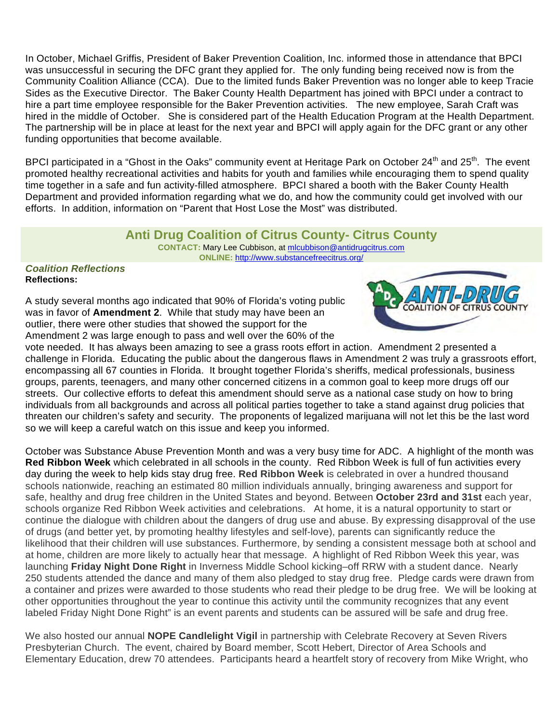In October, Michael Griffis, President of Baker Prevention Coalition, Inc. informed those in attendance that BPCI was unsuccessful in securing the DFC grant they applied for. The only funding being received now is from the Community Coalition Alliance (CCA). Due to the limited funds Baker Prevention was no longer able to keep Tracie Sides as the Executive Director. The Baker County Health Department has joined with BPCI under a contract to hire a part time employee responsible for the Baker Prevention activities. The new employee, Sarah Craft was hired in the middle of October. She is considered part of the Health Education Program at the Health Department. The partnership will be in place at least for the next year and BPCI will apply again for the DFC grant or any other funding opportunities that become available.

BPCI participated in a "Ghost in the Oaks" community event at Heritage Park on October 24<sup>th</sup> and 25<sup>th</sup>. The event promoted healthy recreational activities and habits for youth and families while encouraging them to spend quality time together in a safe and fun activity-filled atmosphere. BPCI shared a booth with the Baker County Health Department and provided information regarding what we do, and how the community could get involved with our efforts. In addition, information on "Parent that Host Lose the Most" was distributed.

#### **Anti Drug Coalition of Citrus County- Citrus County**

**CONTACT:** Mary Lee Cubbison, at mlcubbison@antidrugcitrus.com **ONLINE:** http://www.substancefreecitrus.org/

#### *Coalition Reflections* **Reflections:**

A study several months ago indicated that 90% of Florida's voting public was in favor of **Amendment 2**. While that study may have been an outlier, there were other studies that showed the support for the Amendment 2 was large enough to pass and well over the 60% of the



vote needed. It has always been amazing to see a grass roots effort in action. Amendment 2 presented a challenge in Florida. Educating the public about the dangerous flaws in Amendment 2 was truly a grassroots effort, encompassing all 67 counties in Florida. It brought together Florida's sheriffs, medical professionals, business groups, parents, teenagers, and many other concerned citizens in a common goal to keep more drugs off our streets. Our collective efforts to defeat this amendment should serve as a national case study on how to bring individuals from all backgrounds and across all political parties together to take a stand against drug policies that threaten our children's safety and security. The proponents of legalized marijuana will not let this be the last word so we will keep a careful watch on this issue and keep you informed.

October was Substance Abuse Prevention Month and was a very busy time for ADC. A highlight of the month was **Red Ribbon Week** which celebrated in all schools in the county. Red Ribbon Week is full of fun activities every day during the week to help kids stay drug free. **Red Ribbon Week** is celebrated in over a hundred thousand schools nationwide, reaching an estimated 80 million individuals annually, bringing awareness and support for safe, healthy and drug free children in the United States and beyond. Between **October 23rd and 31st** each year, schools organize Red Ribbon Week activities and celebrations. At home, it is a natural opportunity to start or continue the dialogue with children about the dangers of drug use and abuse. By expressing disapproval of the use of drugs (and better yet, by promoting healthy lifestyles and self-love), parents can significantly reduce the likelihood that their children will use substances. Furthermore, by sending a consistent message both at school and at home, children are more likely to actually hear that message. A highlight of Red Ribbon Week this year, was launching **Friday Night Done Right** in Inverness Middle School kicking–off RRW with a student dance. Nearly 250 students attended the dance and many of them also pledged to stay drug free. Pledge cards were drawn from a container and prizes were awarded to those students who read their pledge to be drug free. We will be looking at other opportunities throughout the year to continue this activity until the community recognizes that any event labeled Friday Night Done Right" is an event parents and students can be assured will be safe and drug free.

We also hosted our annual **NOPE Candlelight Vigil** in partnership with Celebrate Recovery at Seven Rivers Presbyterian Church. The event, chaired by Board member, Scott Hebert, Director of Area Schools and Elementary Education, drew 70 attendees. Participants heard a heartfelt story of recovery from Mike Wright, who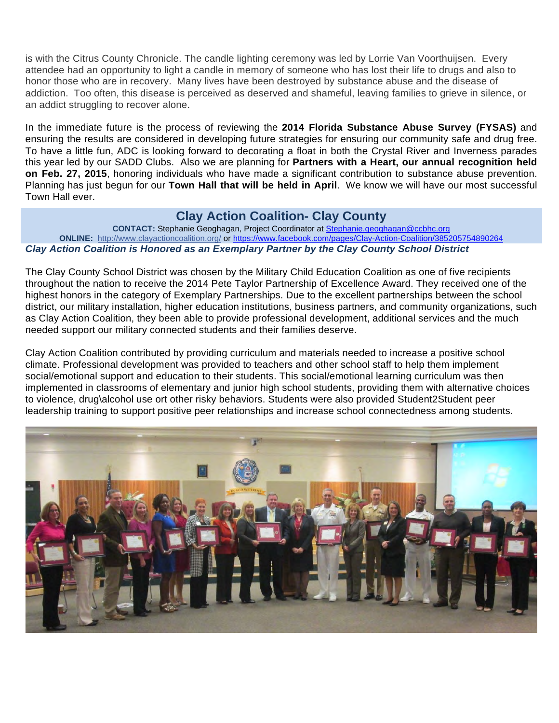is with the Citrus County Chronicle. The candle lighting ceremony was led by Lorrie Van Voorthuijsen. Every attendee had an opportunity to light a candle in memory of someone who has lost their life to drugs and also to honor those who are in recovery. Many lives have been destroyed by substance abuse and the disease of addiction. Too often, this disease is perceived as deserved and shameful, leaving families to grieve in silence, or an addict struggling to recover alone.

In the immediate future is the process of reviewing the **2014 Florida Substance Abuse Survey (FYSAS)** and ensuring the results are considered in developing future strategies for ensuring our community safe and drug free. To have a little fun, ADC is looking forward to decorating a float in both the Crystal River and Inverness parades this year led by our SADD Clubs. Also we are planning for **Partners with a Heart, our annual recognition held on Feb. 27, 2015**, honoring individuals who have made a significant contribution to substance abuse prevention. Planning has just begun for our **Town Hall that will be held in April**. We know we will have our most successful Town Hall ever.

#### **Clay Action Coalition- Clay County**

**CONTACT:** Stephanie Geoghagan, Project Coordinator at Stephanie.geoghagan@ccbhc.org **ONLINE:** http://www.clayactioncoalition.org/ or https://www.facebook.com/pages/Clay-Action-Coalition/385205754890264 *Clay Action Coalition is Honored as an Exemplary Partner by the Clay County School District*

The Clay County School District was chosen by the Military Child Education Coalition as one of five recipients throughout the nation to receive the 2014 Pete Taylor Partnership of Excellence Award. They received one of the highest honors in the category of Exemplary Partnerships. Due to the excellent partnerships between the school district, our military installation, higher education institutions, business partners, and community organizations, such as Clay Action Coalition, they been able to provide professional development, additional services and the much needed support our military connected students and their families deserve.

Clay Action Coalition contributed by providing curriculum and materials needed to increase a positive school climate. Professional development was provided to teachers and other school staff to help them implement social/emotional support and education to their students. This social/emotional learning curriculum was then implemented in classrooms of elementary and junior high school students, providing them with alternative choices to violence, drug\alcohol use ort other risky behaviors. Students were also provided Student2Student peer leadership training to support positive peer relationships and increase school connectedness among students.

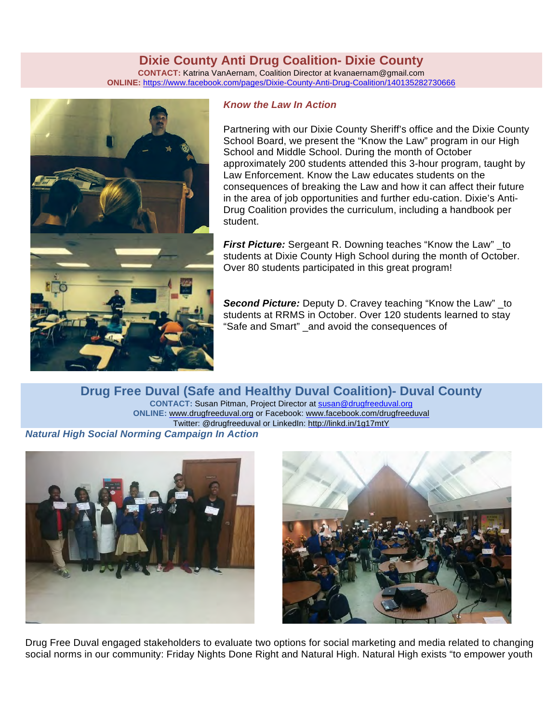#### **Dixie County Anti Drug Coalition- Dixie County**

**CONTACT:** Katrina VanAernam, Coalition Director at kvanaernam@gmail.com **ONLINE:** https://www.facebook.com/pages/Dixie-County-Anti-Drug-Coalition/140135282730666



#### *Know the Law In Action*

Partnering with our Dixie County Sheriff's office and the Dixie County School Board, we present the "Know the Law" program in our High School and Middle School. During the month of October approximately 200 students attended this 3-hour program, taught by Law Enforcement. Know the Law educates students on the consequences of breaking the Law and how it can affect their future in the area of job opportunities and further edu-cation. Dixie's Anti-Drug Coalition provides the curriculum, including a handbook per student.

**First Picture:** Sergeant R. Downing teaches "Know the Law" \_to students at Dixie County High School during the month of October. Over 80 students participated in this great program!

*Second Picture:* Deputy D. Cravey teaching "Know the Law" \_to students at RRMS in October. Over 120 students learned to stay "Safe and Smart" \_and avoid the consequences of

**Drug Free Duval (Safe and Healthy Duval Coalition)- Duval County CONTACT:** Susan Pitman, Project Director at susan@drugfreeduval.org **ONLINE:** www.drugfreeduval.org or Facebook: www.facebook.com/drugfreeduval Twitter: @drugfreeduval or LinkedIn: http://linkd.in/1g17mtY *Natural High Social Norming Campaign In Action*





Drug Free Duval engaged stakeholders to evaluate two options for social marketing and media related to changing social norms in our community: Friday Nights Done Right and Natural High. Natural High exists "to empower youth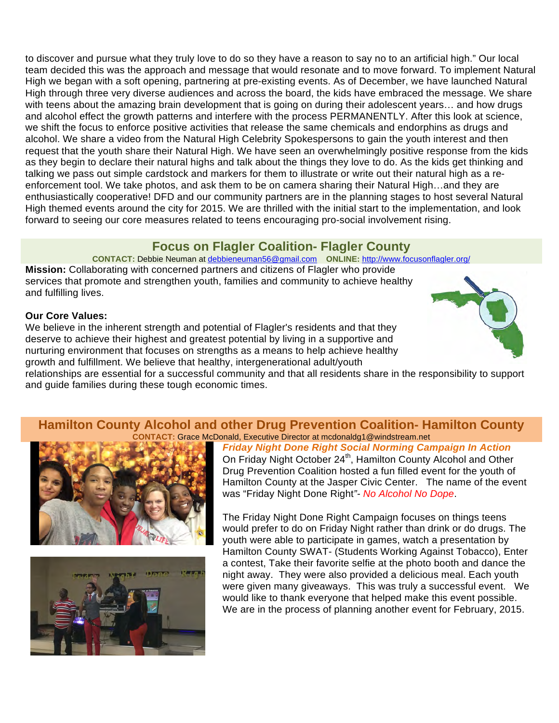to discover and pursue what they truly love to do so they have a reason to say no to an artificial high." Our local team decided this was the approach and message that would resonate and to move forward. To implement Natural High we began with a soft opening, partnering at pre-existing events. As of December, we have launched Natural High through three very diverse audiences and across the board, the kids have embraced the message. We share with teens about the amazing brain development that is going on during their adolescent years... and how drugs and alcohol effect the growth patterns and interfere with the process PERMANENTLY. After this look at science, we shift the focus to enforce positive activities that release the same chemicals and endorphins as drugs and alcohol. We share a video from the Natural High Celebrity Spokespersons to gain the youth interest and then request that the youth share their Natural High. We have seen an overwhelmingly positive response from the kids as they begin to declare their natural highs and talk about the things they love to do. As the kids get thinking and talking we pass out simple cardstock and markers for them to illustrate or write out their natural high as a reenforcement tool. We take photos, and ask them to be on camera sharing their Natural High…and they are enthusiastically cooperative! DFD and our community partners are in the planning stages to host several Natural High themed events around the city for 2015. We are thrilled with the initial start to the implementation, and look forward to seeing our core measures related to teens encouraging pro-social involvement rising.

#### **Focus on Flagler Coalition- Flagler County**

**CONTACT:** Debbie Neuman at debbieneuman56@gmail.com **ONLINE:** http://www.focusonflagler.org/

**Mission:** Collaborating with concerned partners and citizens of Flagler who provide services that promote and strengthen youth, families and community to achieve healthy and fulfilling lives.

#### **Our Core Values:**

We believe in the inherent strength and potential of Flagler's residents and that they deserve to achieve their highest and greatest potential by living in a supportive and nurturing environment that focuses on strengths as a means to help achieve healthy growth and fulfillment. We believe that healthy, intergenerational adult/youth

relationships are essential for a successful community and that all residents share in the responsibility to support and guide families during these tough economic times.

#### **Hamilton County Alcohol and other Drug Prevention Coalition- Hamilton County CONTACT:** Grace McDonald, Executive Director at mcdonaldg1@windstream.net





*Friday Night Done Right Social Norming Campaign In Action* On Friday Night October 24<sup>th</sup>, Hamilton County Alcohol and Other Drug Prevention Coalition hosted a fun filled event for the youth of Hamilton County at the Jasper Civic Center. The name of the event was "Friday Night Done Right*"- No Alcohol No Dope*.

The Friday Night Done Right Campaign focuses on things teens would prefer to do on Friday Night rather than drink or do drugs. The youth were able to participate in games, watch a presentation by Hamilton County SWAT- (Students Working Against Tobacco), Enter a contest, Take their favorite selfie at the photo booth and dance the night away. They were also provided a delicious meal. Each youth were given many giveaways. This was truly a successful event. We would like to thank everyone that helped make this event possible. We are in the process of planning another event for February, 2015.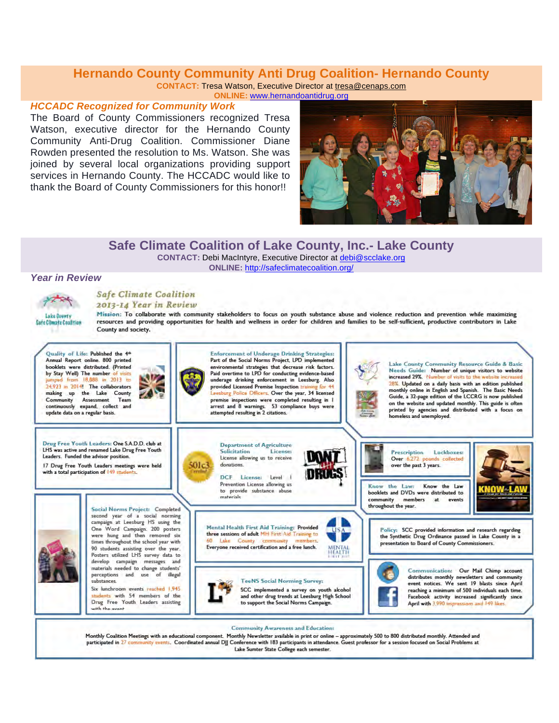#### **Hernando County Community Anti Drug Coalition- Hernando County**

**CONTACT:** Tresa Watson, Executive Director at tresa@cenaps.com

**ONLINE:** www.hernandoantidrug.org

#### *HCCADC Recognized for Community Work*

The Board of County Commissioners recognized Tresa Watson, executive director for the Hernando County Community Anti-Drug Coalition. Commissioner Diane Rowden presented the resolution to Ms. Watson. She was joined by several local organizations providing support services in Hernando County. The HCCADC would like to thank the Board of County Commissioners for this honor!!



#### **Safe Climate Coalition of Lake County, Inc.- Lake County**

**CONTACT:** Debi MacIntyre, Executive Director at debi@scclake.org

**ONLINE:** http://safeclimatecoalition.org/

#### *Year in Review*



#### **Safe Climate Coalition**

2013-14 Year in Review

Mission: To collaborate with community stakeholders to focus on youth substance abuse and violence reduction and prevention while maximizing resources and providing opportunities for health and wellness in order for children and families to be self-sufficient, productive contributors in Lake County and society.



participated in 27 community events. Coordinated annual DJJ Conference with 183 participants in attendance. Guest professor for a session focused on Social Problems at Lake Sumter State College each semester.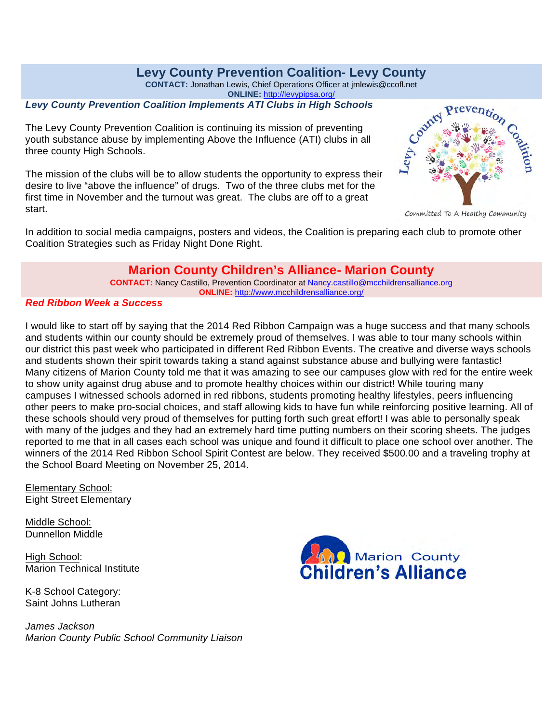#### **Levy County Prevention Coalition- Levy County**

**CONTACT:** Jonathan Lewis, Chief Operations Officer at jmlewis@ccofl.net

**ONLINE:** http://levypipsa.org/

#### *Levy County Prevention Coalition Implements ATI Clubs in High Schools*

The Levy County Prevention Coalition is continuing its mission of preventing youth substance abuse by implementing Above the Influence (ATI) clubs in all three county High Schools.

The mission of the clubs will be to allow students the opportunity to express their desire to live "above the influence" of drugs. Two of the three clubs met for the first time in November and the turnout was great. The clubs are off to a great start.



Committed To A Healthy Community

In addition to social media campaigns, posters and videos, the Coalition is preparing each club to promote other Coalition Strategies such as Friday Night Done Right.

#### **Marion County Children's Alliance- Marion County**

**CONTACT:** Nancy Castillo, Prevention Coordinator at Nancy.castillo@mcchildrensalliance.org **ONLINE:** http://www.mcchildrensalliance.org/

#### *Red Ribbon Week a Success*

I would like to start off by saying that the 2014 Red Ribbon Campaign was a huge success and that many schools and students within our county should be extremely proud of themselves. I was able to tour many schools within our district this past week who participated in different Red Ribbon Events. The creative and diverse ways schools and students shown their spirit towards taking a stand against substance abuse and bullying were fantastic! Many citizens of Marion County told me that it was amazing to see our campuses glow with red for the entire week to show unity against drug abuse and to promote healthy choices within our district! While touring many campuses I witnessed schools adorned in red ribbons, students promoting healthy lifestyles, peers influencing other peers to make pro-social choices, and staff allowing kids to have fun while reinforcing positive learning. All of these schools should very proud of themselves for putting forth such great effort! I was able to personally speak with many of the judges and they had an extremely hard time putting numbers on their scoring sheets. The judges reported to me that in all cases each school was unique and found it difficult to place one school over another. The winners of the 2014 Red Ribbon School Spirit Contest are below. They received \$500.00 and a traveling trophy at the School Board Meeting on November 25, 2014.

Elementary School: Eight Street Elementary

Middle School: Dunnellon Middle

High School: Marion Technical Institute

K-8 School Category: Saint Johns Lutheran

*James Jackson Marion County Public School Community Liaison*

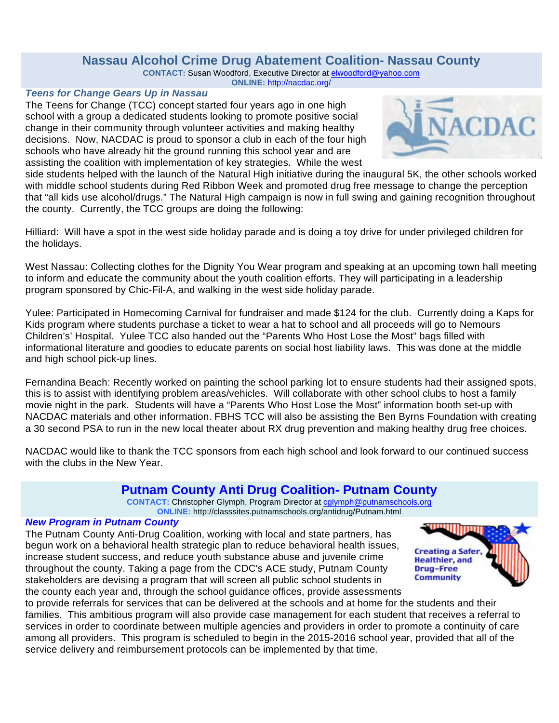#### **Nassau Alcohol Crime Drug Abatement Coalition- Nassau County**

**CONTACT:** Susan Woodford, Executive Director at elwoodford@yahoo.com **ONLINE:** http://nacdac.org/

#### *Teens for Change Gears Up in Nassau*

The Teens for Change (TCC) concept started four years ago in one high school with a group a dedicated students looking to promote positive social change in their community through volunteer activities and making healthy decisions. Now, NACDAC is proud to sponsor a club in each of the four high schools who have already hit the ground running this school year and are assisting the coalition with implementation of key strategies. While the west



side students helped with the launch of the Natural High initiative during the inaugural 5K, the other schools worked with middle school students during Red Ribbon Week and promoted drug free message to change the perception that "all kids use alcohol/drugs." The Natural High campaign is now in full swing and gaining recognition throughout the county. Currently, the TCC groups are doing the following:

Hilliard: Will have a spot in the west side holiday parade and is doing a toy drive for under privileged children for the holidays.

West Nassau: Collecting clothes for the Dignity You Wear program and speaking at an upcoming town hall meeting to inform and educate the community about the youth coalition efforts. They will participating in a leadership program sponsored by Chic-Fil-A, and walking in the west side holiday parade.

Yulee: Participated in Homecoming Carnival for fundraiser and made \$124 for the club. Currently doing a Kaps for Kids program where students purchase a ticket to wear a hat to school and all proceeds will go to Nemours Children's' Hospital. Yulee TCC also handed out the "Parents Who Host Lose the Most" bags filled with informational literature and goodies to educate parents on social host liability laws. This was done at the middle and high school pick-up lines.

Fernandina Beach: Recently worked on painting the school parking lot to ensure students had their assigned spots, this is to assist with identifying problem areas/vehicles. Will collaborate with other school clubs to host a family movie night in the park. Students will have a "Parents Who Host Lose the Most" information booth set-up with NACDAC materials and other information. FBHS TCC will also be assisting the Ben Byrns Foundation with creating a 30 second PSA to run in the new local theater about RX drug prevention and making healthy drug free choices.

NACDAC would like to thank the TCC sponsors from each high school and look forward to our continued success with the clubs in the New Year.

#### **Putnam County Anti Drug Coalition- Putnam County**

**CONTACT:** Christopher Glymph, Program Director at cglymph@putnamschools.org

**ONLINE:** http://classsites.putnamschools.org/antidrug/Putnam.html

#### *New Program in Putnam County*

The Putnam County Anti-Drug Coalition, working with local and state partners, has begun work on a behavioral health strategic plan to reduce behavioral health issues, increase student success, and reduce youth substance abuse and juvenile crime throughout the county. Taking a page from the CDC's ACE study, Putnam County stakeholders are devising a program that will screen all public school students in the county each year and, through the school guidance offices, provide assessments



to provide referrals for services that can be delivered at the schools and at home for the students and their families. This ambitious program will also provide case management for each student that receives a referral to services in order to coordinate between multiple agencies and providers in order to promote a continuity of care among all providers. This program is scheduled to begin in the 2015-2016 school year, provided that all of the service delivery and reimbursement protocols can be implemented by that time.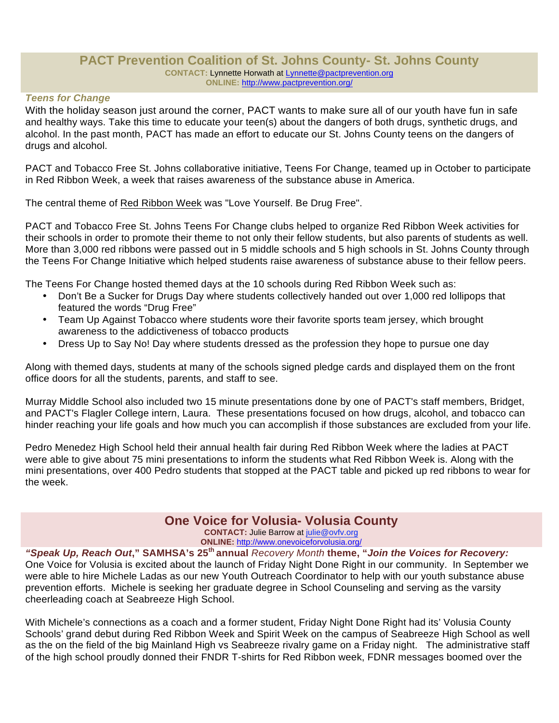#### **PACT Prevention Coalition of St. Johns County- St. Johns County CONTACT:** Lynnette Horwath at Lynnette@pactprevention.org **ONLINE:** http://www.pactprevention.org/

#### *Teens for Change*

With the holiday season just around the corner, PACT wants to make sure all of our youth have fun in safe and healthy ways. Take this time to educate your teen(s) about the dangers of both drugs, synthetic drugs, and alcohol. In the past month, PACT has made an effort to educate our St. Johns County teens on the dangers of drugs and alcohol.

PACT and Tobacco Free St. Johns collaborative initiative, Teens For Change, teamed up in October to participate in Red Ribbon Week, a week that raises awareness of the substance abuse in America.

The central theme of Red Ribbon Week was "Love Yourself. Be Drug Free".

PACT and Tobacco Free St. Johns Teens For Change clubs helped to organize Red Ribbon Week activities for their schools in order to promote their theme to not only their fellow students, but also parents of students as well. More than 3,000 red ribbons were passed out in 5 middle schools and 5 high schools in St. Johns County through the Teens For Change Initiative which helped students raise awareness of substance abuse to their fellow peers.

The Teens For Change hosted themed days at the 10 schools during Red Ribbon Week such as:

- Don't Be a Sucker for Drugs Day where students collectively handed out over 1,000 red lollipops that featured the words "Drug Free"
- Team Up Against Tobacco where students wore their favorite sports team jersey, which brought awareness to the addictiveness of tobacco products
- Dress Up to Say No! Day where students dressed as the profession they hope to pursue one day

Along with themed days, students at many of the schools signed pledge cards and displayed them on the front office doors for all the students, parents, and staff to see.

Murray Middle School also included two 15 minute presentations done by one of PACT's staff members, Bridget, and PACT's Flagler College intern, Laura. These presentations focused on how drugs, alcohol, and tobacco can hinder reaching your life goals and how much you can accomplish if those substances are excluded from your life.

Pedro Menedez High School held their annual health fair during Red Ribbon Week where the ladies at PACT were able to give about 75 mini presentations to inform the students what Red Ribbon Week is. Along with the mini presentations, over 400 Pedro students that stopped at the PACT table and picked up red ribbons to wear for the week.

#### **One Voice for Volusia- Volusia County**

**CONTACT:** Julie Barrow at julie@ovfv.org **ONLINE:** http://www.onevoiceforvolusia.org/

*"Speak Up, Reach Out***," SAMHSA's 25th annual** *Recovery Month* **theme, "***Join the Voices for Recovery:* One Voice for Volusia is excited about the launch of Friday Night Done Right in our community. In September we were able to hire Michele Ladas as our new Youth Outreach Coordinator to help with our youth substance abuse prevention efforts. Michele is seeking her graduate degree in School Counseling and serving as the varsity cheerleading coach at Seabreeze High School.

With Michele's connections as a coach and a former student, Friday Night Done Right had its' Volusia County Schools' grand debut during Red Ribbon Week and Spirit Week on the campus of Seabreeze High School as well as the on the field of the big Mainland High vs Seabreeze rivalry game on a Friday night. The administrative staff of the high school proudly donned their FNDR T-shirts for Red Ribbon week, FDNR messages boomed over the